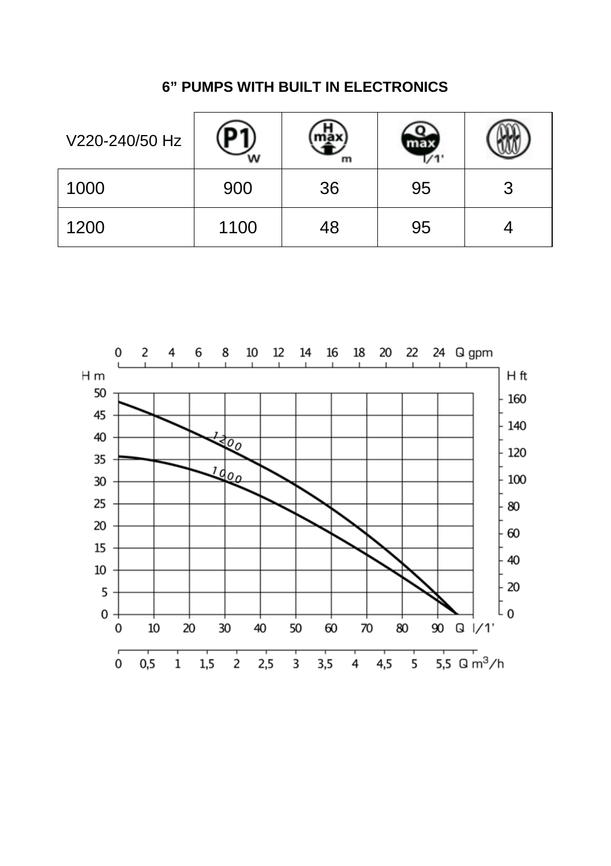| V220-240/50 Hz |      | m  |    |        |
|----------------|------|----|----|--------|
| 1000           | 900  | 36 | 95 | ີ<br>J |
| 1200           | 1100 | 48 | 95 |        |

# **6" PUMPS WITH BUILT IN ELECTRONICS**

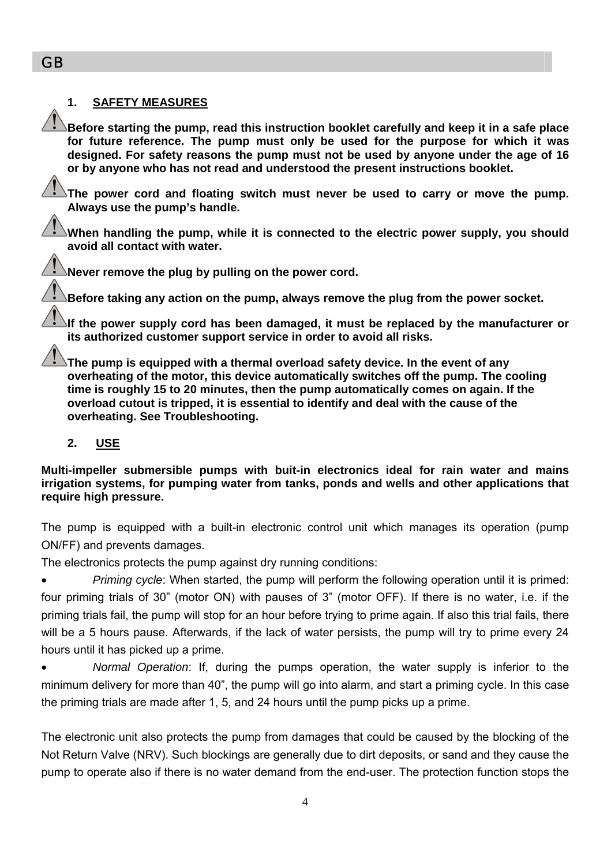# **1. SAFETY MEASURES**

**Before starting the pump, read this instruction booklet carefully and keep it in a safe place for future reference. The pump must only be used for the purpose for which it was designed. For safety reasons the pump must not be used by anyone under the age of 16 or by anyone who has not read and understood the present instructions booklet.** 

**The power cord and floating switch must never be used to carry or move the pump. Always use the pump's handle.** 

**When handling the pump, while it is connected to the electric power supply, you should avoid all contact with water.** 

**Never remove the plug by pulling on the power cord.** 

**Before taking any action on the pump, always remove the plug from the power socket.** 

**If the power supply cord has been damaged, it must be replaced by the manufacturer or its authorized customer support service in order to avoid all risks.** 

**The pump is equipped with a thermal overload safety device. In the event of any overheating of the motor, this device automatically switches off the pump. The cooling time is roughly 15 to 20 minutes, then the pump automatically comes on again. If the overload cutout is tripped, it is essential to identify and deal with the cause of the overheating. See Troubleshooting.** 

## **2. USE**

**Multi-impeller submersible pumps with buit-in electronics ideal for rain water and mains irrigation systems, for pumping water from tanks, ponds and wells and other applications that require high pressure.** 

The pump is equipped with a built-in electronic control unit which manages its operation (pump ON/FF) and prevents damages.

The electronics protects the pump against dry running conditions:

• *Priming cycle*: When started, the pump will perform the following operation until it is primed: four priming trials of 30" (motor ON) with pauses of 3" (motor OFF). If there is no water, i.e. if the priming trials fail, the pump will stop for an hour before trying to prime again. If also this trial fails, there will be a 5 hours pause. Afterwards, if the lack of water persists, the pump will try to prime every 24 hours until it has picked up a prime.

• *Normal Operation*: If, during the pumps operation, the water supply is inferior to the minimum delivery for more than 40", the pump will go into alarm, and start a priming cycle. In this case the priming trials are made after 1, 5, and 24 hours until the pump picks up a prime.

The electronic unit also protects the pump from damages that could be caused by the blocking of the Not Return Valve (NRV). Such blockings are generally due to dirt deposits, or sand and they cause the pump to operate also if there is no water demand from the end-user. The protection function stops the

GB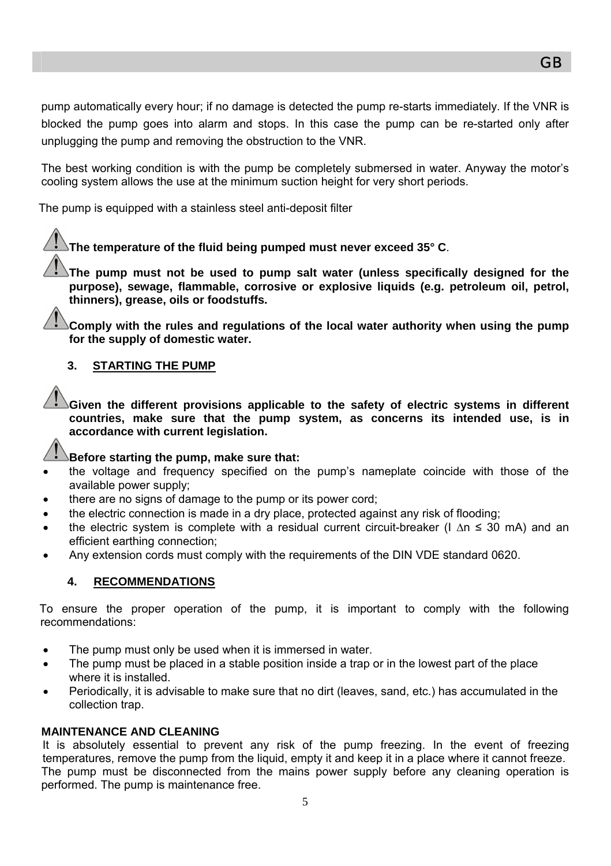pump automatically every hour; if no damage is detected the pump re-starts immediately. If the VNR is blocked the pump goes into alarm and stops. In this case the pump can be re-started only after unplugging the pump and removing the obstruction to the VNR.

The best working condition is with the pump be completely submersed in water. Anyway the motor's cooling system allows the use at the minimum suction height for very short periods.

The pump is equipped with a stainless steel anti-deposit filter

# **The temperature of the fluid being pumped must never exceed 35° C**.

**The pump must not be used to pump salt water (unless specifically designed for the purpose), sewage, flammable, corrosive or explosive liquids (e.g. petroleum oil, petrol, thinners), grease, oils or foodstuffs.** 

**Comply with the rules and regulations of the local water authority when using the pump for the supply of domestic water.** 

# **3. STARTING THE PUMP**

**Given the different provisions applicable to the safety of electric systems in different countries, make sure that the pump system, as concerns its intended use, is in accordance with current legislation.** 

## **Before starting the pump, make sure that:**

- the voltage and frequency specified on the pump's nameplate coincide with those of the available power supply;
- there are no signs of damage to the pump or its power cord;
- the electric connection is made in a dry place, protected against any risk of flooding;
- the electric system is complete with a residual current circuit-breaker (I ∆n ≤ 30 mA) and an efficient earthing connection;
- Any extension cords must comply with the requirements of the DIN VDE standard 0620.

## **4. RECOMMENDATIONS**

To ensure the proper operation of the pump, it is important to comply with the following recommendations:

- The pump must only be used when it is immersed in water.
- The pump must be placed in a stable position inside a trap or in the lowest part of the place where it is installed.
- Periodically, it is advisable to make sure that no dirt (leaves, sand, etc.) has accumulated in the collection trap.

## **MAINTENANCE AND CLEANING**

It is absolutely essential to prevent any risk of the pump freezing. In the event of freezing temperatures, remove the pump from the liquid, empty it and keep it in a place where it cannot freeze. The pump must be disconnected from the mains power supply before any cleaning operation is performed. The pump is maintenance free.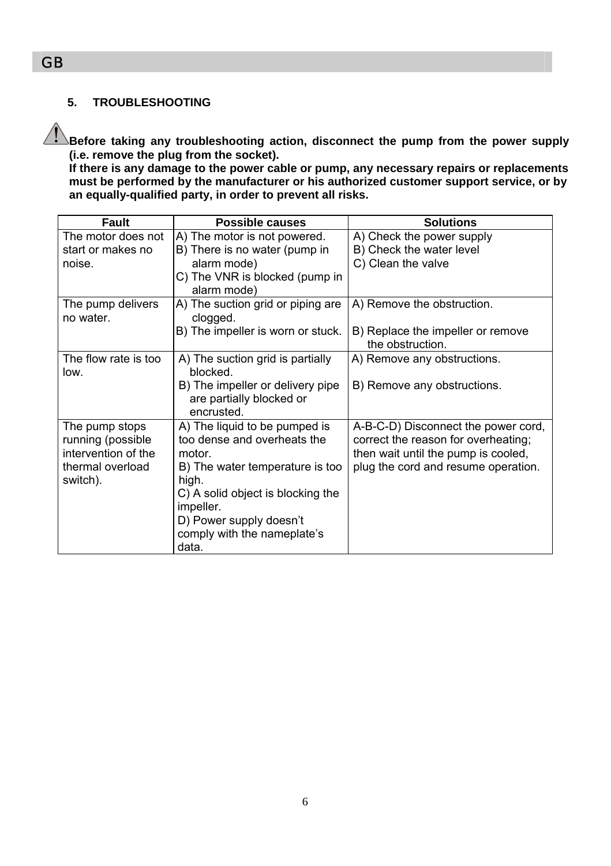# **5. TROUBLESHOOTING**

**Before taking any troubleshooting action, disconnect the pump from the power supply (i.e. remove the plug from the socket).** 

**If there is any damage to the power cable or pump, any necessary repairs or replacements must be performed by the manufacturer or his authorized customer support service, or by an equally-qualified party, in order to prevent all risks.** 

| Fault                                    | Possible causes                                                            | <b>Solutions</b>                                                           |
|------------------------------------------|----------------------------------------------------------------------------|----------------------------------------------------------------------------|
| The motor does not                       | A) The motor is not powered.                                               | A) Check the power supply                                                  |
| start or makes no                        | B) There is no water (pump in                                              | B) Check the water level                                                   |
| noise.                                   | alarm mode)                                                                | C) Clean the valve                                                         |
|                                          | C) The VNR is blocked (pump in<br>alarm mode)                              |                                                                            |
| The pump delivers<br>no water.           | A) The suction grid or piping are<br>clogged.                              | A) Remove the obstruction.                                                 |
|                                          | B) The impeller is worn or stuck.                                          | B) Replace the impeller or remove<br>the obstruction.                      |
| The flow rate is too<br>low.             | A) The suction grid is partially<br><b>blocked</b>                         | A) Remove any obstructions.                                                |
|                                          | B) The impeller or delivery pipe<br>are partially blocked or<br>encrusted. | B) Remove any obstructions.                                                |
| The pump stops                           | A) The liquid to be pumped is                                              | A-B-C-D) Disconnect the power cord,                                        |
| running (possible<br>intervention of the | too dense and overheats the<br>motor                                       | correct the reason for overheating;<br>then wait until the pump is cooled, |
| thermal overload<br>switch).             | B) The water temperature is too<br>high.                                   | plug the cord and resume operation.                                        |
|                                          | C) A solid object is blocking the<br>impeller.                             |                                                                            |
|                                          | D) Power supply doesn't                                                    |                                                                            |
|                                          | comply with the nameplate's<br>data.                                       |                                                                            |

GB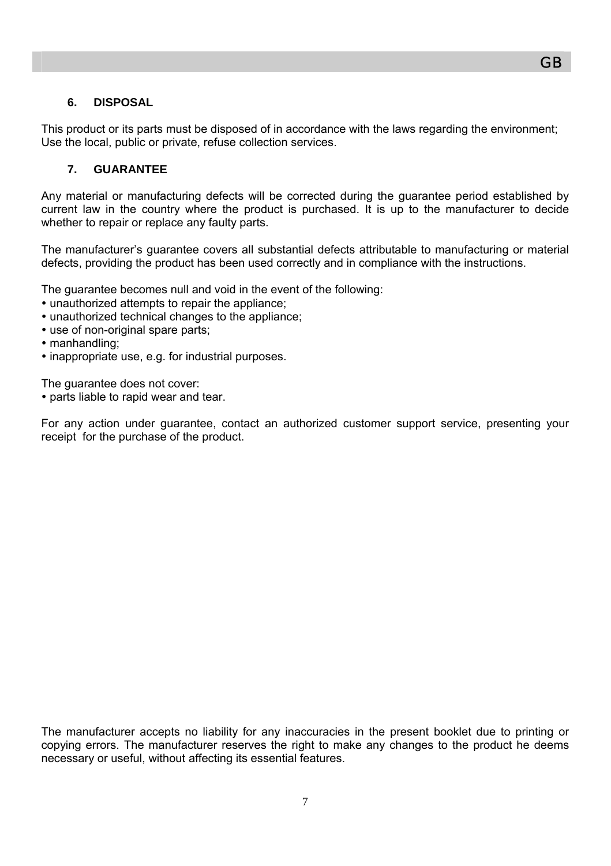#### **6. DISPOSAL**

This product or its parts must be disposed of in accordance with the laws regarding the environment; Use the local, public or private, refuse collection services.

#### **7. GUARANTEE**

Any material or manufacturing defects will be corrected during the guarantee period established by current law in the country where the product is purchased. It is up to the manufacturer to decide whether to repair or replace any faulty parts.

The manufacturer's guarantee covers all substantial defects attributable to manufacturing or material defects, providing the product has been used correctly and in compliance with the instructions.

The guarantee becomes null and void in the event of the following:

- unauthorized attempts to repair the appliance;
- unauthorized technical changes to the appliance;
- use of non-original spare parts;
- manhandling:
- inappropriate use, e.g. for industrial purposes.

The guarantee does not cover:

• parts liable to rapid wear and tear.

For any action under guarantee, contact an authorized customer support service, presenting your receipt for the purchase of the product.

The manufacturer accepts no liability for any inaccuracies in the present booklet due to printing or copying errors. The manufacturer reserves the right to make any changes to the product he deems necessary or useful, without affecting its essential features.

GB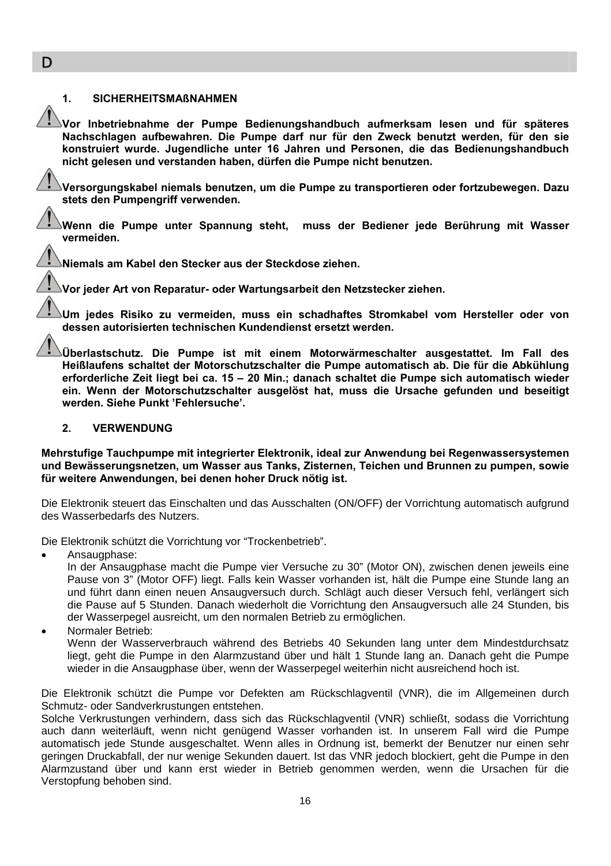#### **1. SICHERHEITSMAßNAHMEN**

**Vor Inbetriebnahme der Pumpe Bedienungshandbuch aufmerksam lesen und für späteres Nachschlagen aufbewahren. Die Pumpe darf nur für den Zweck benutzt werden, für den sie konstruiert wurde. Jugendliche unter 16 Jahren und Personen, die das Bedienungshandbuch nicht gelesen und verstanden haben, dürfen die Pumpe nicht benutzen.** 

**Versorgungskabel niemals benutzen, um die Pumpe zu transportieren oder fortzubewegen. Dazu stets den Pumpengriff verwenden.** 

**Wenn die Pumpe unter Spannung steht, muss der Bediener jede Berührung mit Wasser vermeiden.** 

**Niemals am Kabel den Stecker aus der Steckdose ziehen.** 

**Vor jeder Art von Reparatur- oder Wartungsarbeit den Netzstecker ziehen.** 

**Um jedes Risiko zu vermeiden, muss ein schadhaftes Stromkabel vom Hersteller oder von dessen autorisierten technischen Kundendienst ersetzt werden.** 

**Überlastschutz. Die Pumpe ist mit einem Motorwärmeschalter ausgestattet. Im Fall des Heißlaufens schaltet der Motorschutzschalter die Pumpe automatisch ab. Die für die Abkühlung erforderliche Zeit liegt bei ca. 15 – 20 Min.; danach schaltet die Pumpe sich automatisch wieder ein. Wenn der Motorschutzschalter ausgelöst hat, muss die Ursache gefunden und beseitigt werden. Siehe Punkt 'Fehlersuche'.** 

#### **2. VERWENDUNG**

**Mehrstufige Tauchpumpe mit integrierter Elektronik, ideal zur Anwendung bei Regenwassersystemen und Bewässerungsnetzen, um Wasser aus Tanks, Zisternen, Teichen und Brunnen zu pumpen, sowie für weitere Anwendungen, bei denen hoher Druck nötig ist.** 

Die Elektronik steuert das Einschalten und das Ausschalten (ON/OFF) der Vorrichtung automatisch aufgrund des Wasserbedarfs des Nutzers.

Die Elektronik schützt die Vorrichtung vor "Trockenbetrieb".

Ansaugphase:

In der Ansaugphase macht die Pumpe vier Versuche zu 30" (Motor ON), zwischen denen jeweils eine Pause von 3" (Motor OFF) liegt. Falls kein Wasser vorhanden ist, hält die Pumpe eine Stunde lang an und führt dann einen neuen Ansaugversuch durch. Schlägt auch dieser Versuch fehl, verlängert sich die Pause auf 5 Stunden. Danach wiederholt die Vorrichtung den Ansaugversuch alle 24 Stunden, bis der Wasserpegel ausreicht, um den normalen Betrieb zu ermöglichen.

• Normaler Betrieb:

Wenn der Wasserverbrauch während des Betriebs 40 Sekunden lang unter dem Mindestdurchsatz liegt, geht die Pumpe in den Alarmzustand über und hält 1 Stunde lang an. Danach geht die Pumpe wieder in die Ansaugphase über, wenn der Wasserpegel weiterhin nicht ausreichend hoch ist.

Die Elektronik schützt die Pumpe vor Defekten am Rückschlagventil (VNR), die im Allgemeinen durch Schmutz- oder Sandverkrustungen entstehen.

Solche Verkrustungen verhindern, dass sich das Rückschlagventil (VNR) schließt, sodass die Vorrichtung auch dann weiterläuft, wenn nicht genügend Wasser vorhanden ist. In unserem Fall wird die Pumpe automatisch jede Stunde ausgeschaltet. Wenn alles in Ordnung ist, bemerkt der Benutzer nur einen sehr geringen Druckabfall, der nur wenige Sekunden dauert. Ist das VNR jedoch blockiert, geht die Pumpe in den Alarmzustand über und kann erst wieder in Betrieb genommen werden, wenn die Ursachen für die Verstopfung behoben sind.

D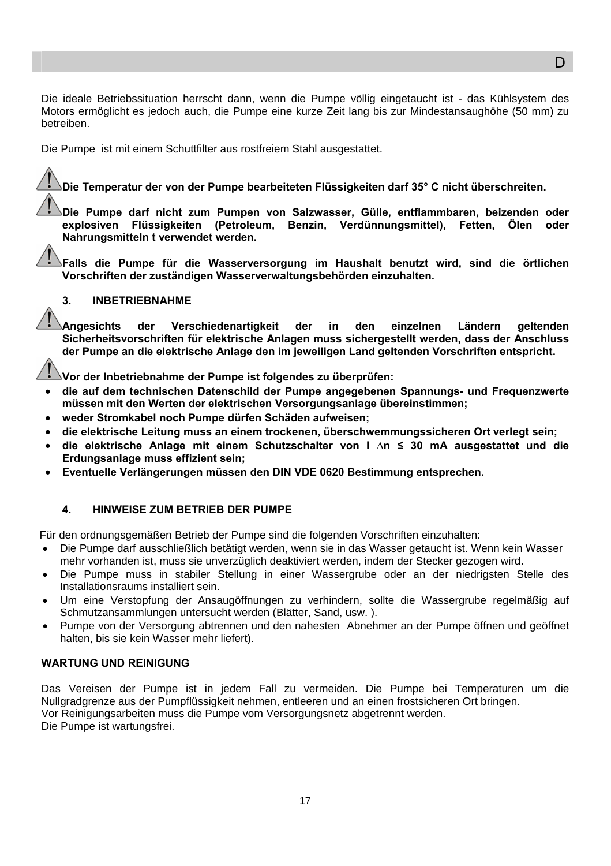Die ideale Betriebssituation herrscht dann, wenn die Pumpe völlig eingetaucht ist - das Kühlsystem des Motors ermöglicht es jedoch auch, die Pumpe eine kurze Zeit lang bis zur Mindestansaughöhe (50 mm) zu betreiben.

Die Pumpe ist mit einem Schuttfilter aus rostfreiem Stahl ausgestattet.

**Die Temperatur der von der Pumpe bearbeiteten Flüssigkeiten darf 35° C nicht überschreiten.** 

**Die Pumpe darf nicht zum Pumpen von Salzwasser, Gülle, entflammbaren, beizenden oder explosiven Flüssigkeiten (Petroleum, Benzin, Verdünnungsmittel), Fetten, Ölen oder Nahrungsmitteln t verwendet werden.** 

**Falls die Pumpe für die Wasserversorgung im Haushalt benutzt wird, sind die örtlichen Vorschriften der zuständigen Wasserverwaltungsbehörden einzuhalten.** 

#### **3. INBETRIEBNAHME**

**Angesichts der Verschiedenartigkeit der in den einzelnen Ländern geltenden Sicherheitsvorschriften für elektrische Anlagen muss sichergestellt werden, dass der Anschluss der Pumpe an die elektrische Anlage den im jeweiligen Land geltenden Vorschriften entspricht.** 

**Vor der Inbetriebnahme der Pumpe ist folgendes zu überprüfen:** 

- **die auf dem technischen Datenschild der Pumpe angegebenen Spannungs- und Frequenzwerte müssen mit den Werten der elektrischen Versorgungsanlage übereinstimmen;**
- **weder Stromkabel noch Pumpe dürfen Schäden aufweisen;**
- **die elektrische Leitung muss an einem trockenen, überschwemmungssicheren Ort verlegt sein;**
- **die elektrische Anlage mit einem Schutzschalter von I ∆n ≤ 30 mA ausgestattet und die Erdungsanlage muss effizient sein;**
- **Eventuelle Verlängerungen müssen den DIN VDE 0620 Bestimmung entsprechen.**

#### **4. HINWEISE ZUM BETRIEB DER PUMPE**

Für den ordnungsgemäßen Betrieb der Pumpe sind die folgenden Vorschriften einzuhalten:

- Die Pumpe darf ausschließlich betätigt werden, wenn sie in das Wasser getaucht ist. Wenn kein Wasser mehr vorhanden ist, muss sie unverzüglich deaktiviert werden, indem der Stecker gezogen wird.
- Die Pumpe muss in stabiler Stellung in einer Wassergrube oder an der niedrigsten Stelle des Installationsraums installiert sein.
- Um eine Verstopfung der Ansaugöffnungen zu verhindern, sollte die Wassergrube regelmäßig auf Schmutzansammlungen untersucht werden (Blätter, Sand, usw. ).
- Pumpe von der Versorgung abtrennen und den nahesten Abnehmer an der Pumpe öffnen und geöffnet halten, bis sie kein Wasser mehr liefert).

#### **WARTUNG UND REINIGUNG**

Das Vereisen der Pumpe ist in jedem Fall zu vermeiden. Die Pumpe bei Temperaturen um die Nullgradgrenze aus der Pumpflüssigkeit nehmen, entleeren und an einen frostsicheren Ort bringen. Vor Reinigungsarbeiten muss die Pumpe vom Versorgungsnetz abgetrennt werden. Die Pumpe ist wartungsfrei.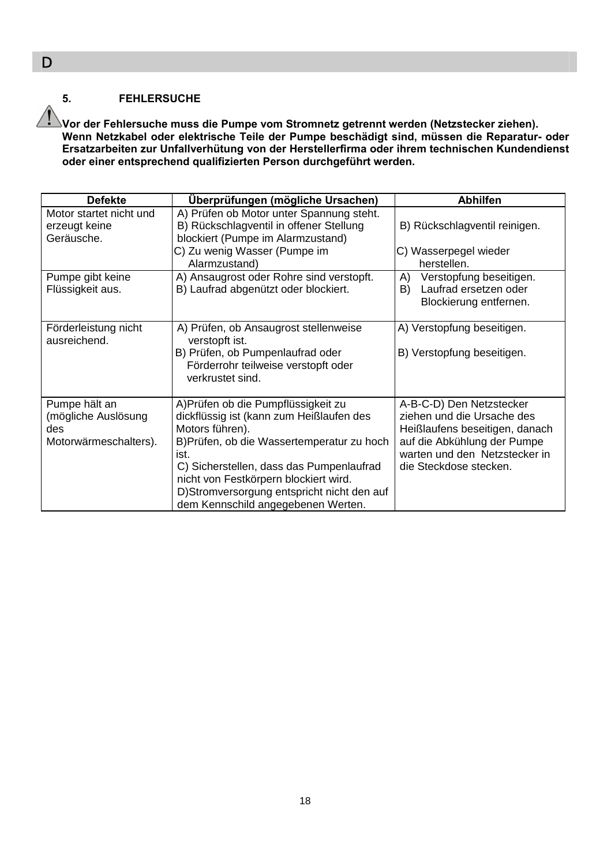#### **5. FEHLERSUCHE**

**Vor der Fehlersuche muss die Pumpe vom Stromnetz getrennt werden (Netzstecker ziehen). Wenn Netzkabel oder elektrische Teile der Pumpe beschädigt sind, müssen die Reparatur- oder Ersatzarbeiten zur Unfallverhütung von der Herstellerfirma oder ihrem technischen Kundendienst oder einer entsprechend qualifizierten Person durchgeführt werden.** 

| <b>Defekte</b>                                                       | Überprüfungen (mögliche Ursachen)                                                                                                                                                                                                                                                                                                 | <b>Abhilfen</b>                                                                                                                                                                    |
|----------------------------------------------------------------------|-----------------------------------------------------------------------------------------------------------------------------------------------------------------------------------------------------------------------------------------------------------------------------------------------------------------------------------|------------------------------------------------------------------------------------------------------------------------------------------------------------------------------------|
| Motor startet nicht und<br>erzeugt keine<br>Geräusche.               | A) Prüfen ob Motor unter Spannung steht.<br>B) Rückschlagventil in offener Stellung<br>blockiert (Pumpe im Alarmzustand)<br>C) Zu wenig Wasser (Pumpe im<br>Alarmzustand)                                                                                                                                                         | B) Rückschlagventil reinigen.<br>C) Wasserpegel wieder<br>herstellen.                                                                                                              |
| Pumpe gibt keine<br>Flüssigkeit aus.                                 | A) Ansaugrost oder Rohre sind verstopft.<br>B) Laufrad abgenützt oder blockiert.                                                                                                                                                                                                                                                  | Verstopfung beseitigen.<br>A)<br>Laufrad ersetzen oder<br>B)<br>Blockierung entfernen.                                                                                             |
| Förderleistung nicht<br>ausreichend.                                 | A) Prüfen, ob Ansaugrost stellenweise<br>verstopft ist.<br>B) Prüfen, ob Pumpenlaufrad oder<br>Förderrohr teilweise verstopft oder<br>verkrustet sind.                                                                                                                                                                            | A) Verstopfung beseitigen.<br>B) Verstopfung beseitigen.                                                                                                                           |
| Pumpe hält an<br>(mögliche Auslösung<br>des<br>Motorwärmeschalters). | A) Prüfen ob die Pumpflüssigkeit zu<br>dickflüssig ist (kann zum Heißlaufen des<br>Motors führen).<br>B) Prüfen, ob die Wassertemperatur zu hoch<br>ist.<br>C) Sicherstellen, dass das Pumpenlaufrad<br>nicht von Festkörpern blockiert wird.<br>D)Stromversorgung entspricht nicht den auf<br>dem Kennschild angegebenen Werten. | A-B-C-D) Den Netzstecker<br>ziehen und die Ursache des<br>Heißlaufens beseitigen, danach<br>auf die Abkühlung der Pumpe<br>warten und den Netzstecker in<br>die Steckdose stecken. |

D